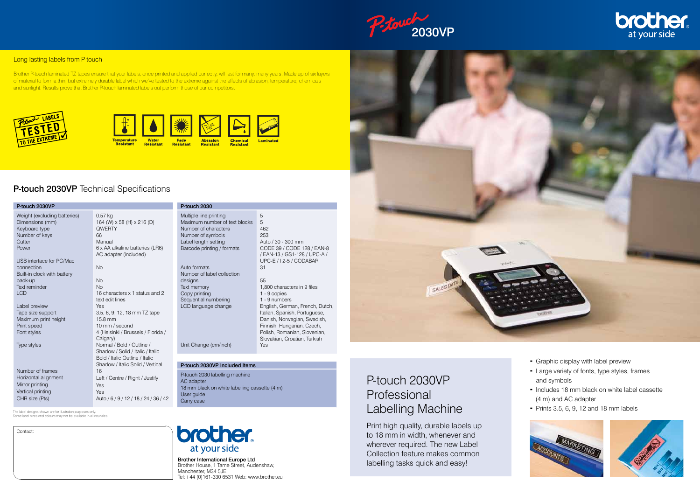

#### **Long lasting labels from P-touch**

Brother P-touch laminated TZ tapes ensure that your labels, once printed and applied correctly, will last for many, many years. Made up of six layers of material to form a thin, but extremely durable label which we've tested to the extreme against the affects of abrasion, temperature, chemicals and sunlight. Results prove that Brother P-touch laminated labels out perform those of our competitors.

Fade

**Resistant** 









## P-touch 2030VP Technical Specifications

## P-touch 2030VP Professional Labelling Machine

Brother International Europe Ltd Brother House, 1 Tame Street, Audenshaw, Manchester, M34 5JE Tel: +44 (0)161-330 6531 Web: www.brother.eu Print high quality, durable labels up to 18 mm in width, whenever and wherever required. The new Label Collection feature makes common labelling tasks quick and easy!



- Graphic display with label preview
- Large variety of fonts, type styles, frames and symbols
- Includes 18 mm black on white label cassette (4 m) and AC adapter
- Prints  $3.5, 6, 9, 12$  and  $18$  mm labels

![](_page_0_Picture_23.jpeg)

![](_page_0_Picture_24.jpeg)

### Contact:

The label designs shown are for illustration purposes only. Some label sizes and colours may not be available in all countries.

![](_page_0_Picture_18.jpeg)

| P-touch 2030VP                                                                                        |                                                                                                                                      |
|-------------------------------------------------------------------------------------------------------|--------------------------------------------------------------------------------------------------------------------------------------|
| Weight (excluding batteries)<br>Dimensions (mm)<br>Keyboard type<br>Number of keys<br>Cutter<br>Power | $0.57$ kg<br>164 (W) x 58 (H) x 216 (D)<br><b>QWERTY</b><br>66<br>Manual<br>6 x AA alkaline batteries (LR6)<br>AC adapter (included) |
| USB interface for PC/Mac                                                                              |                                                                                                                                      |
| connection                                                                                            | <b>No</b>                                                                                                                            |
| Built-in clock with battery                                                                           |                                                                                                                                      |
| back-up<br>Text reminder                                                                              | <b>No</b><br><b>No</b>                                                                                                               |
| <b>LCD</b>                                                                                            | 16 characters x 1 status and 2<br>text edit lines                                                                                    |
| Label preview                                                                                         | Yes                                                                                                                                  |
| Tape size support                                                                                     | 3.5, 6, 9, 12, 18 mm TZ tape                                                                                                         |
| Maximum print height                                                                                  | $15.8 \text{ mm}$                                                                                                                    |
| Print speed<br>Font styles                                                                            | 10 mm / second<br>4 (Helsinki / Brussels / Florida /                                                                                 |
|                                                                                                       | Calgary)                                                                                                                             |
| Type styles                                                                                           | Normal / Bold / Outline /                                                                                                            |
|                                                                                                       | Shadow / Solid / Italic / Italic                                                                                                     |
|                                                                                                       | Bold / Italic Outline / Italic<br>Shadow / Italic Solid / Vertical                                                                   |
| Number of frames                                                                                      | 16                                                                                                                                   |
| Horizontal alignment                                                                                  | Left / Centre / Right / Justify                                                                                                      |
| Mirror printing                                                                                       | Yes                                                                                                                                  |
| Vertical printing                                                                                     | Yes                                                                                                                                  |
| CHR size (Pts)                                                                                        | Auto / 6 / 9 / 12 / 18 / 24 / 36 / 42                                                                                                |

| P-touch 2030                                                                                                                                                                                             |                                                                                                                                                                                                                                                                            |
|----------------------------------------------------------------------------------------------------------------------------------------------------------------------------------------------------------|----------------------------------------------------------------------------------------------------------------------------------------------------------------------------------------------------------------------------------------------------------------------------|
| Multiple line printing<br>Maximum number of text blocks<br>Number of characters<br>Number of symbols<br>Label length setting<br>Barcode printing / formats<br>Auto formats<br>Number of label collection | 5<br>5<br>462<br>253<br>Auto / 30 - 300 mm<br>CODE 39 / CODE 128 / EAN-8<br>/ EAN-13 / GS1-128 / UPC-A /<br>UPC-E / I 2-5 / CODABAR<br>31                                                                                                                                  |
| designs<br>Text memory<br>Copy printing<br>Sequential numbering<br>LCD language change                                                                                                                   | 55<br>1,800 characters in 9 files<br>1 - 9 copies<br>1 - 9 numbers<br>English, German, French, Dutch,<br>Italian, Spanish, Portuguese,<br>Danish, Norwegian, Swedish,<br>Finnish, Hungarian, Czech,<br>Polish, Romanian, Slovenian,<br>Slovakian, Croatian, Turkish<br>Yes |
| Unit Change (cm/inch)                                                                                                                                                                                    |                                                                                                                                                                                                                                                                            |
|                                                                                                                                                                                                          |                                                                                                                                                                                                                                                                            |

#### P-touch 2030VP Included Items

P-touch 2030 labelling machine AC adapter 18 mm black on white labelling cassette (4 m) User guide Carry case

![](_page_0_Picture_12.jpeg)